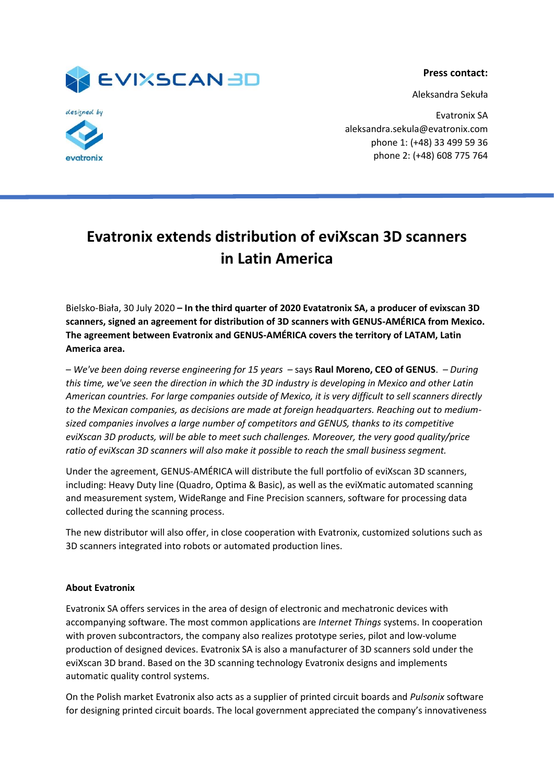**Press contact:**

Aleksandra Sekuła





Evatronix SA aleksandra.sekula@evatronix.com phone 1: (+48) 33 499 59 36 phone 2: (+48) 608 775 764

## **Evatronix extends distribution of eviXscan 3D scanners in Latin America**

Bielsko-Biała, 30 July 2020 **– In the third quarter of 2020 Evatatronix SA, a producer of evixscan 3D scanners, signed an agreement for distribution of 3D scanners with GENUS-AMÉRICA from Mexico. The agreement between Evatronix and GENUS-AMÉRICA covers the territory of LATAM, Latin America area.**

*– We've been doing reverse engineering for 15 years –* says **Raul Moreno, CEO of GENUS**. *– During this time, we've seen the direction in which the 3D industry is developing in Mexico and other Latin American countries. For large companies outside of Mexico, it is very difficult to sell scanners directly to the Mexican companies, as decisions are made at foreign headquarters. Reaching out to mediumsized companies involves a large number of competitors and GENUS, thanks to its competitive eviXscan 3D products, will be able to meet such challenges. Moreover, the very good quality/price ratio of eviXscan 3D scanners will also make it possible to reach the small business segment.*

Under the agreement, GENUS-AMÉRICA will distribute the full portfolio of eviXscan 3D scanners, including: Heavy Duty line (Quadro, Optima & Basic), as well as the eviXmatic automated scanning and measurement system, WideRange and Fine Precision scanners, software for processing data collected during the scanning process.

The new distributor will also offer, in close cooperation with Evatronix, customized solutions such as 3D scanners integrated into robots or automated production lines.

## **About Evatronix**

Evatronix SA offers services in the area of design of electronic and mechatronic devices with accompanying software. The most common applications are *Internet Things* systems. In cooperation with proven subcontractors, the company also realizes prototype series, pilot and low-volume production of designed devices. Evatronix SA is also a manufacturer of 3D scanners sold under the eviXscan 3D brand. Based on the 3D scanning technology Evatronix designs and implements automatic quality control systems.

On the Polish market Evatronix also acts as a supplier of printed circuit boards and *Pulsonix* software for designing printed circuit boards. The local government appreciated the company's innovativeness